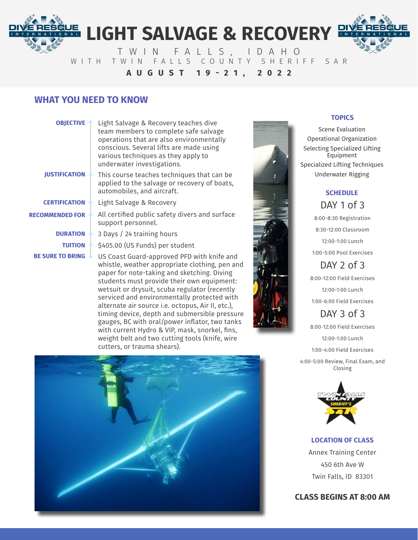# **LIGHT SALVAGE & RECOVERY**

TWIN FALLS, IDAHO WITH TWIN FALLS COUNTY SHERIFF SAR **AUGUST 19-21, 2022**

### **WHAT YOU NEED TO KNOW**

### **OBJECTIVE**

N A L

Light Salvage & Recovery teaches dive team members to complete safe salvage operations that are also environmentally conscious. Several lifts are made using various techniques as they apply to underwater investigations.

**JUSTIFICATION**

**CERTIFICATION**

**RECOMMENDED FOR**

**DURATION**

**TUITION**

**BE SURE TO BRING**

- This course teaches techniques that can be applied to the salvage or recovery of boats, automobiles, and aircraft.
- Light Salvage & Recovery
	- All certified public safety divers and surface support personnel.
- 3 Days / 24 training hours

\$405.00 (US Funds) per student

US Coast Guard-approved PFD with knife and whistle, weather appropriate clothing, pen and paper for note-taking and sketching. Diving students must provide their own equipment: wetsuit or drysuit, scuba regulator (recently serviced and environmentally protected with alternate air source i.e. octopus, Air II, etc.), timing device, depth and submersible pressure gauges, BC with oral/power inflator, two tanks with current Hydro & VIP, mask, snorkel, fins, weight belt and two cutting tools (knife, wire cutters, or trauma shears).





### **TOPICS**

Scene Evaluation Operational Organization Selecting Specialized Lifting Equipment Specialized Lifting Techniques Underwater Rigging



8:00-8:30 Registration 8:30-12:00 Classroom 12:00-1:00 Lunch 1:00-5:00 Pool Exercises

## DAY  $2$  of  $3$

8:00-12:00 Field Exercises 12:00-1:00 Lunch 1:00-6:00 Field Exercises

## DAY 3 of 3

8:00-12:00 Field Exercises 12:00-1:00 Lunch 1:00-4:00 Field Exercises 4:00-5:00 Review, Final Exam, and Closing



### **LOCATION OF CLASS**

Annex Training Center 450 6th Ave W Twin Falls, ID 83301